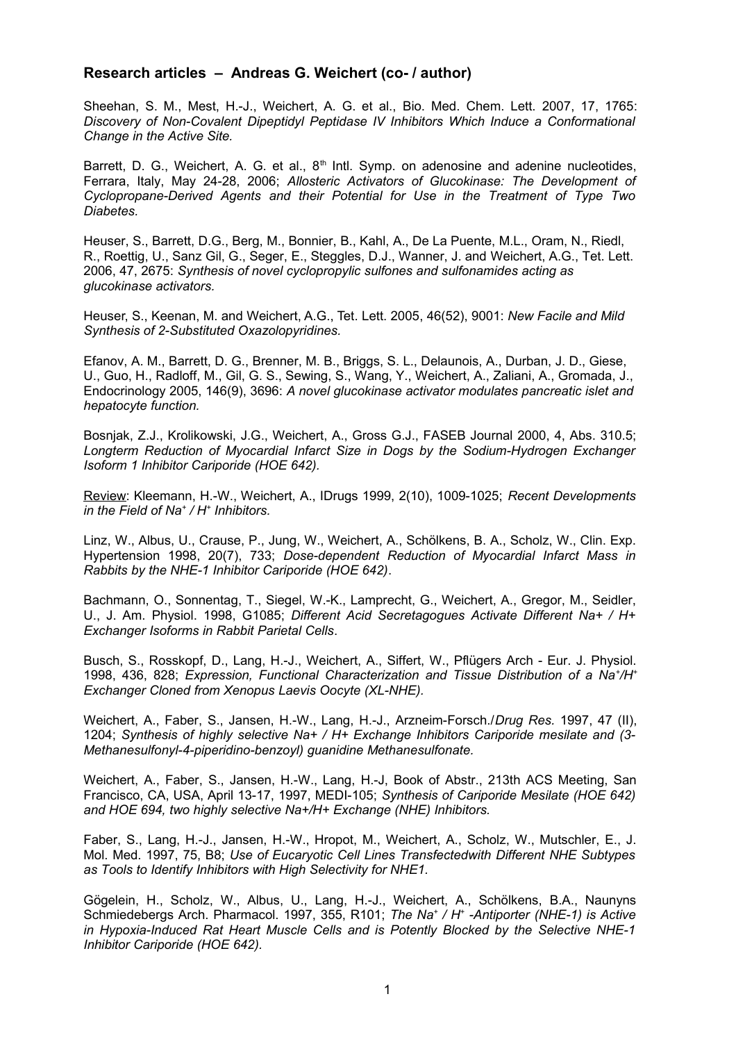## **Research articles – Andreas G. Weichert (co- / author)**

Sheehan, S. M., Mest, H.-J., Weichert, A. G. et al., Bio. Med. Chem. Lett. 2007, 17, 1765: *Discovery of Non-Covalent Dipeptidyl Peptidase IV Inhibitors Which Induce a Conformational Change in the Active Site.*

Barrett, D. G., Weichert, A. G. et al.,  $8<sup>th</sup>$  Intl. Symp. on adenosine and adenine nucleotides, Ferrara, Italy, May 24-28, 2006; *Allosteric Activators of Glucokinase: The Development of Cyclopropane-Derived Agents and their Potential for Use in the Treatment of Type Two Diabetes.*

Heuser, S., Barrett, D.G., Berg, M., Bonnier, B., Kahl, A., De La Puente, M.L., Oram, N., Riedl, R., Roettig, U., Sanz Gil, G., Seger, E., Steggles, D.J., Wanner, J. and Weichert, A.G., Tet. Lett. 2006, 47, 2675: *Synthesis of novel cyclopropylic sulfones and sulfonamides acting as glucokinase activators.*

Heuser, S., Keenan, M. and Weichert, A.G., Tet. Lett. 2005, 46(52), 9001: *New Facile and Mild Synthesis of 2-Substituted Oxazolopyridines.*

Efanov, A. M., Barrett, D. G., Brenner, M. B., Briggs, S. L., Delaunois, A., Durban, J. D., Giese, U., Guo, H., Radloff, M., Gil, G. S., Sewing, S., Wang, Y., Weichert, A., Zaliani, A., Gromada, J., Endocrinology 2005, 146(9), 3696: *A novel glucokinase activator modulates pancreatic islet and hepatocyte function.*

Bosnjak, Z.J., Krolikowski, J.G., Weichert, A., Gross G.J., FASEB Journal 2000, 4, Abs. 310.5; *Longterm Reduction of Myocardial Infarct Size in Dogs by the Sodium-Hydrogen Exchanger Isoform 1 Inhibitor Cariporide (HOE 642).*

Review: Kleemann, H.-W., Weichert, A., IDrugs 1999, 2(10), 1009-1025; *Recent Developments in the Field of Na<sup>+</sup> / H<sup>+</sup> Inhibitors.*

Linz, W., Albus, U., Crause, P., Jung, W., Weichert, A., Schölkens, B. A., Scholz, W., Clin. Exp. Hypertension 1998, 20(7), 733; *Dose-dependent Reduction of Myocardial Infarct Mass in Rabbits by the NHE-1 Inhibitor Cariporide (HOE 642)*.

Bachmann, O., Sonnentag, T., Siegel, W.-K., Lamprecht, G., Weichert, A., Gregor, M., Seidler, U., J. Am. Physiol. 1998, G1085; *Different Acid Secretagogues Activate Different Na+ / H+ Exchanger Isoforms in Rabbit Parietal Cells*.

Busch, S., Rosskopf, D., Lang, H.-J., Weichert, A., Siffert, W., Pflügers Arch - Eur. J. Physiol. 1998, 436, 828; *Expression, Functional Characterization and Tissue Distribution of a Na<sup>+</sup> /H<sup>+</sup> Exchanger Cloned from Xenopus Laevis Oocyte (XL-NHE).*

Weichert, A., Faber, S., Jansen, H.-W., Lang, H.-J., Arzneim-Forsch./*Drug Res.* 1997, 47 (II), 1204; *Synthesis of highly selective Na+ / H+ Exchange Inhibitors Cariporide mesilate and (3- Methanesulfonyl-4-piperidino-benzoyl) guanidine Methanesulfonate.*

Weichert, A., Faber, S., Jansen, H.-W., Lang, H.-J, Book of Abstr., 213th ACS Meeting, San Francisco, CA, USA, April 13-17, 1997, MEDI-105; *Synthesis of Cariporide Mesilate (HOE 642) and HOE 694, two highly selective Na+/H+ Exchange (NHE) Inhibitors.*

Faber, S., Lang, H.-J., Jansen, H.-W., Hropot, M., Weichert, A., Scholz, W., Mutschler, E., J. Mol. Med. 1997, 75, B8; *Use of Eucaryotic Cell Lines Transfectedwith Different NHE Subtypes as Tools to Identify Inhibitors with High Selectivity for NHE1.*

Gögelein, H., Scholz, W., Albus, U., Lang, H.-J., Weichert, A., Schölkens, B.A., Naunyns Schmiedebergs Arch. Pharmacol. 1997, 355, R101; *The Na<sup>+</sup> / H<sup>+</sup> -Antiporter (NHE-1) is Active in Hypoxia-Induced Rat Heart Muscle Cells and is Potently Blocked by the Selective NHE-1 Inhibitor Cariporide (HOE 642).*